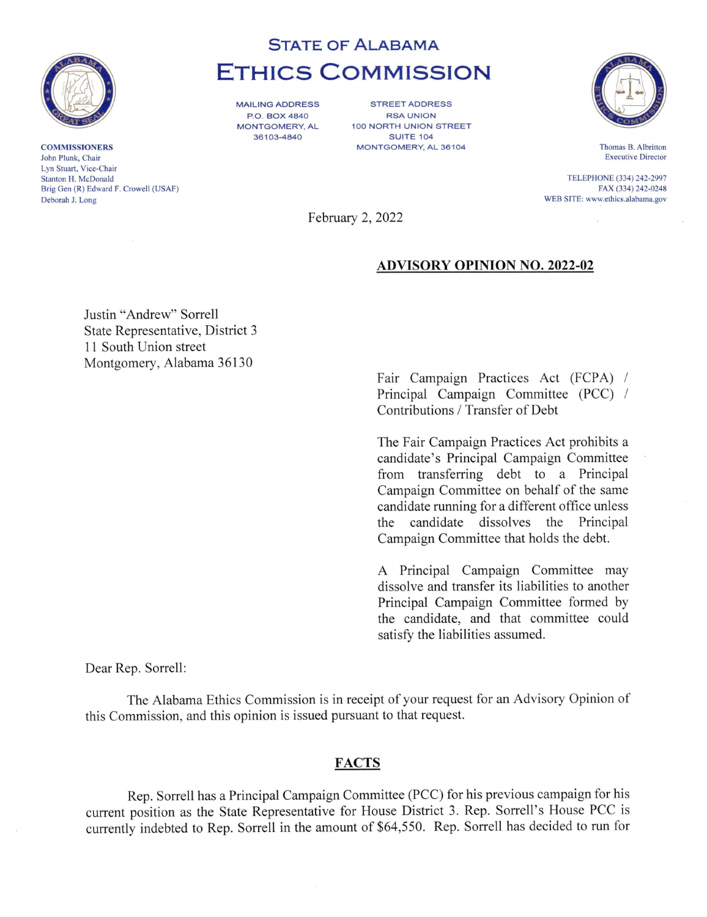

**COMMISSIONERS** John Plunk, Chair Lyn Stuart, Vice-Chair Stanton H. McDonald Brig Gen (R) Edward F. Crowell (USAF) Deborah J. Long

# STATE OF ALABAMA ETHICS COMMISSION

MAILING ADDRESS P.O. BOX 4840 MONTGOMERY, AL 36103-4840

STREET ADDRESS RSA UNION 100 NORTH UNION STREET SUITE 104 MONTGOMERY, AL 36104



Thomas B. Albritton Executive Director

TELEPHONE (334) 242-2997 FAX (334) 242-0248 WEB SITE: www.ethics.alabama.gov

February 2, 2022

## ADVISORY OPINION NO. 2022-02

Justin "Andrew" Sorrell State Representative, District 3 11 South Union street Montgomery, Alabama 36130

> Fair Campaign Practices Act (FCPA) / Principal Campaign Committee (PCC) / Contributions / Transfer of Debt

The Fair Campaign Practices Act prohibits a candidate's Principal Campaign Committee from transferring debt to a Principal Campaign Committee on behalf of the same candidate running for a different office unless the candidate dissolves the Principal Campaign Committee that holds the debt.

A Principal Campaign Committee may dissolve and transfer its liabilities to another Principal Campaign Committee formed by the candidate, and that committee could satisfy the liabilities assumed.

Dear Rep. Sorrell:

The Alabama Ethics Commission is in receipt of your request for an Advisory Opinion of this Commission, and this opinion is issued pursuant to that request.

### FACTS

Rep. Sorrell has a Principal Campaign Committee (PCC) for his previous campaign for his current position as the State Representative for House District 3. Rep. Sorrell's House PCC is currently indebted to Rep. Sorrell in the amount of \$64,550. Rep. Sorrell has decided to run for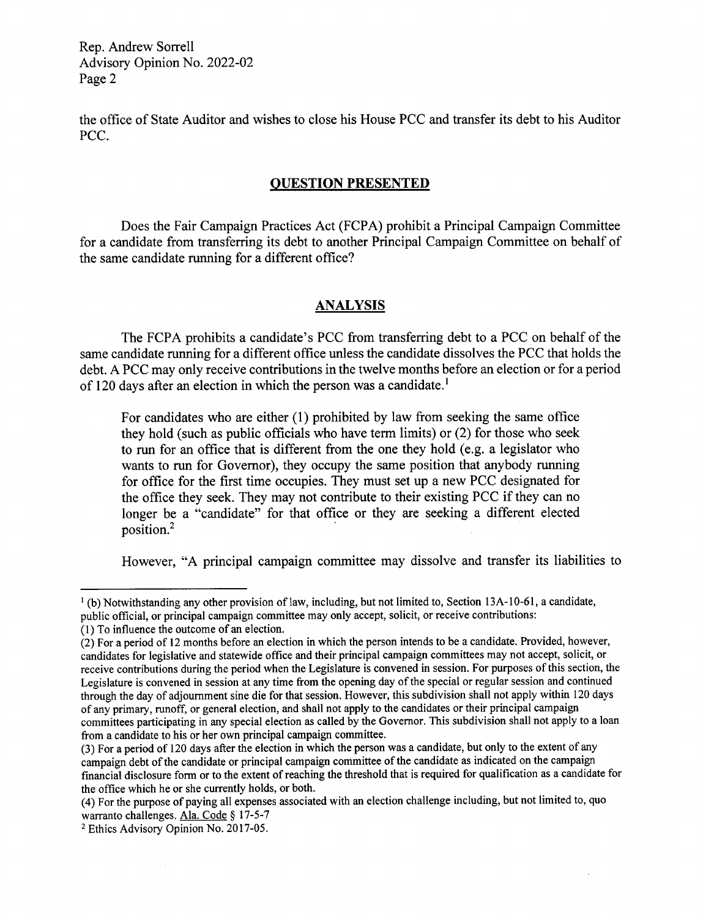Rep. Andrew Sorrell Advisory Opinion No. 2022-02 Page 2

the office of State Auditor and wishes to close his House PCC and transfer its debt to his Auditor PCC.

### QUESTION PRESENTED

Does the Fair Campaign Practices Act (FCPA) prohibit a Principal Campaign Committee for a candidate from transferring its debt to another Principal Campaign Committee on behalf of the same candidate running for a different office?

## **ANALYSIS**

The FCPA prohibits a candidate's PCC from transferring debt to a PCC on behalf of the same candidate running for a different office unless the candidate dissolves the PCC that holds the debt. A PCC may only receive contributions in the twelve months before an election or for a period of 120 days after an election in which the person was a candidate.<sup>1</sup>

For candidates who are either (1) prohibited by law from seeking the same office they hold (such as public officials who have term limits) or (2) for those who seek to run for an office that is different from the one they hold (e.g. a legislator who wants to run for Governor), they occupy the same position that anybody running for office for the first time occupies. They must set up a new PCC designated for the office they seek. They may not contribute to their existing PCC if they can no longer be a "candidate" for that office or they are seeking a different elected position.2

However, "A principal campaign committee may dissolve and transfer its liabilities to

 $\bar{z}$ 

<sup>&#</sup>x27;(b) Notwithstanding any other provision of law, including, but not limited to, Section 13A-10-61, a candidate, public official, or principal campaign committee may only accept, solicit, or receive contributions:

<sup>(1)</sup> To influence the outcome of an election.

<sup>(2)</sup> For a period of 12 months before an election in which the person intends to be a candidate. Provided, however, candidates for legislative and statewide office and their principal campaign committees may not accept, solicit, or receive contributions during the period when the Legislature is convened in session. For purposes of this section, the Legislature is convened in session at any time from the opening day of the special or regular session and continued through the day of adjournment sine die for that session. However, this subdivision shall not apply within 120 days of any primary, runoff, or general election, and shall not apply to the candidates or their principal campaign committees participating in any special election as called by the Governor. This subdivision shall not apply to a loan from a candidate to his or her own principal campaign committee.

<sup>(3)</sup> For a period of 120 days after the election in which the person was a candidate, but only to the extent of any campaign debt of the candidate or principal campaign committee of the candidate as indicated on the campaign financial disclosure form or to the extent of reaching the threshold that is required for qualification as a candidate for the office which he or she currently holds, or both.

<sup>(4)</sup> For the purpose of paying all expenses associated with an election challenge including, but not limited to, quo warranto challenges. Ala. Code § 17-5-7

<sup>2</sup> Ethics Advisory Opinion No. 2017-05.